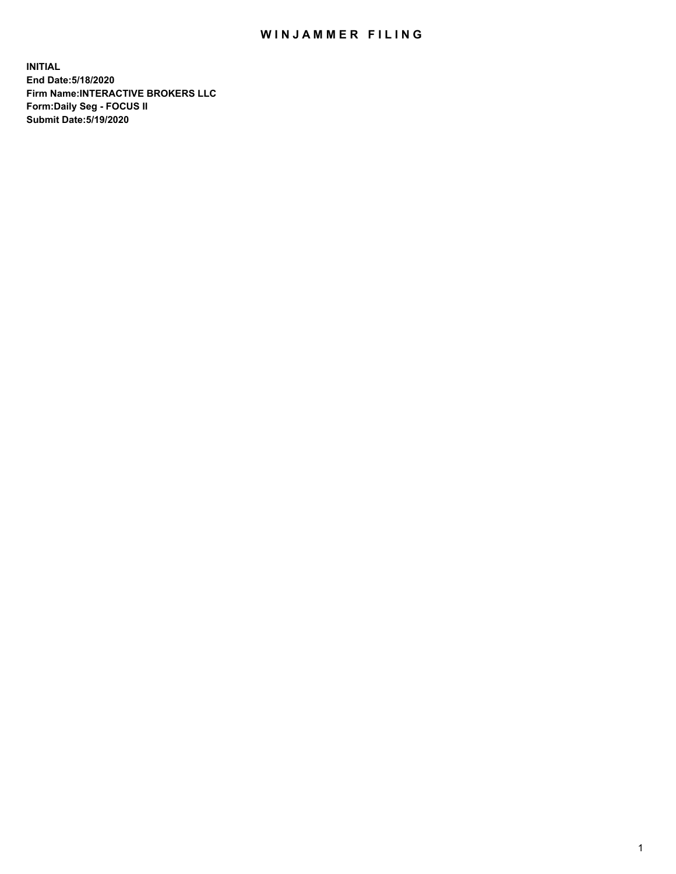## WIN JAMMER FILING

**INITIAL End Date:5/18/2020 Firm Name:INTERACTIVE BROKERS LLC Form:Daily Seg - FOCUS II Submit Date:5/19/2020**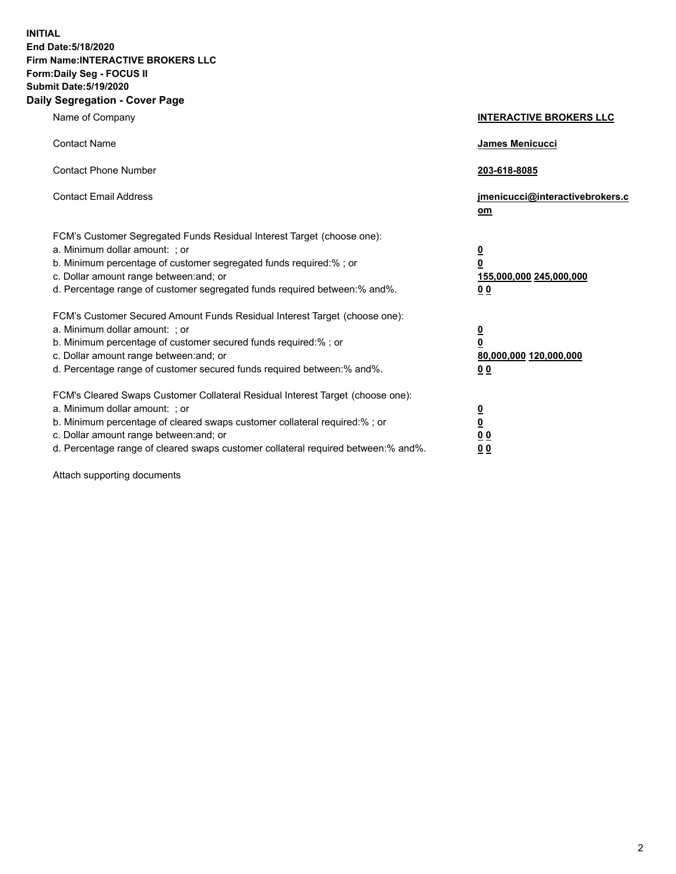**INITIAL End Date:5/18/2020 Firm Name:INTERACTIVE BROKERS LLC Form:Daily Seg - FOCUS II Submit Date:5/19/2020 Daily Segregation - Cover Page**

| Name of Company                                                                                                                                                                                                                                                                                                                | <b>INTERACTIVE BROKERS LLC</b>                                                                  |
|--------------------------------------------------------------------------------------------------------------------------------------------------------------------------------------------------------------------------------------------------------------------------------------------------------------------------------|-------------------------------------------------------------------------------------------------|
| <b>Contact Name</b>                                                                                                                                                                                                                                                                                                            | <b>James Menicucci</b>                                                                          |
| <b>Contact Phone Number</b>                                                                                                                                                                                                                                                                                                    | 203-618-8085                                                                                    |
| <b>Contact Email Address</b>                                                                                                                                                                                                                                                                                                   | jmenicucci@interactivebrokers.c<br>om                                                           |
| FCM's Customer Segregated Funds Residual Interest Target (choose one):<br>a. Minimum dollar amount: ; or<br>b. Minimum percentage of customer segregated funds required:%; or<br>c. Dollar amount range between: and; or<br>d. Percentage range of customer segregated funds required between:% and%.                          | $\overline{\mathbf{0}}$<br>$\overline{\mathbf{0}}$<br>155,000,000 245,000,000<br>0 <sub>0</sub> |
| FCM's Customer Secured Amount Funds Residual Interest Target (choose one):<br>a. Minimum dollar amount: ; or<br>b. Minimum percentage of customer secured funds required:%; or<br>c. Dollar amount range between: and; or<br>d. Percentage range of customer secured funds required between:% and%.                            | <u>0</u><br>$\overline{\mathbf{0}}$<br>80,000,000 120,000,000<br>0 <sub>0</sub>                 |
| FCM's Cleared Swaps Customer Collateral Residual Interest Target (choose one):<br>a. Minimum dollar amount: ; or<br>b. Minimum percentage of cleared swaps customer collateral required:% ; or<br>c. Dollar amount range between: and; or<br>d. Percentage range of cleared swaps customer collateral required between:% and%. | $\overline{\mathbf{0}}$<br>$\underline{\mathbf{0}}$<br>0 <sub>0</sub><br>00                     |

Attach supporting documents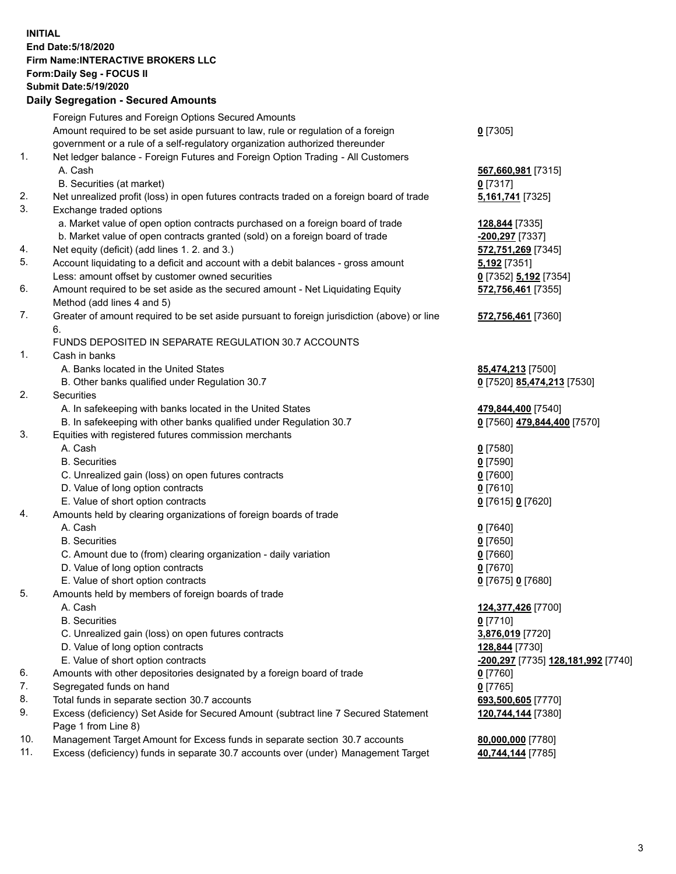**INITIAL End Date:5/18/2020 Firm Name:INTERACTIVE BROKERS LLC Form:Daily Seg - FOCUS II Submit Date:5/19/2020 Daily Segregation - Secured Amounts**

|     | Foreign Futures and Foreign Options Secured Amounts                                         |                                                          |
|-----|---------------------------------------------------------------------------------------------|----------------------------------------------------------|
|     | Amount required to be set aside pursuant to law, rule or regulation of a foreign            | $0$ [7305]                                               |
|     | government or a rule of a self-regulatory organization authorized thereunder                |                                                          |
| 1.  | Net ledger balance - Foreign Futures and Foreign Option Trading - All Customers             |                                                          |
|     | A. Cash                                                                                     | 567,660,981 [7315]                                       |
|     | B. Securities (at market)                                                                   | $0$ [7317]                                               |
| 2.  | Net unrealized profit (loss) in open futures contracts traded on a foreign board of trade   | 5,161,741 [7325]                                         |
| 3.  | Exchange traded options                                                                     |                                                          |
|     | a. Market value of open option contracts purchased on a foreign board of trade              | 128,844 [7335]                                           |
|     | b. Market value of open contracts granted (sold) on a foreign board of trade                | -200,297 [7337]                                          |
| 4.  | Net equity (deficit) (add lines 1.2. and 3.)                                                | 572,751,269 [7345]                                       |
| 5.  | Account liquidating to a deficit and account with a debit balances - gross amount           | 5,192 [7351]                                             |
|     | Less: amount offset by customer owned securities                                            | 0 [7352] 5,192 [7354]                                    |
| 6.  | Amount required to be set aside as the secured amount - Net Liquidating Equity              | 572,756,461 [7355]                                       |
|     | Method (add lines 4 and 5)                                                                  |                                                          |
| 7.  | Greater of amount required to be set aside pursuant to foreign jurisdiction (above) or line | 572,756,461 [7360]                                       |
|     | 6.                                                                                          |                                                          |
|     | FUNDS DEPOSITED IN SEPARATE REGULATION 30.7 ACCOUNTS                                        |                                                          |
| 1.  | Cash in banks                                                                               |                                                          |
|     | A. Banks located in the United States                                                       | 85,474,213 [7500]                                        |
|     | B. Other banks qualified under Regulation 30.7                                              | 0 [7520] 85,474,213 [7530]                               |
| 2.  | Securities                                                                                  |                                                          |
|     | A. In safekeeping with banks located in the United States                                   | 479,844,400 [7540]                                       |
|     | B. In safekeeping with other banks qualified under Regulation 30.7                          | 0 [7560] 479,844,400 [7570]                              |
| 3.  | Equities with registered futures commission merchants                                       |                                                          |
|     | A. Cash                                                                                     | $0$ [7580]                                               |
|     | <b>B.</b> Securities                                                                        | $0$ [7590]                                               |
|     | C. Unrealized gain (loss) on open futures contracts                                         | $0$ [7600]                                               |
|     | D. Value of long option contracts                                                           | $0$ [7610]                                               |
|     | E. Value of short option contracts                                                          | 0 [7615] 0 [7620]                                        |
| 4.  | Amounts held by clearing organizations of foreign boards of trade                           |                                                          |
|     | A. Cash                                                                                     | $0$ [7640]                                               |
|     | <b>B.</b> Securities                                                                        | $0$ [7650]                                               |
|     | C. Amount due to (from) clearing organization - daily variation                             | $0$ [7660]                                               |
|     | D. Value of long option contracts                                                           | $0$ [7670]                                               |
|     | E. Value of short option contracts                                                          | 0 [7675] 0 [7680]                                        |
| 5.  | Amounts held by members of foreign boards of trade                                          |                                                          |
|     | A. Cash                                                                                     | 124,377,426 [7700]                                       |
|     | <b>B.</b> Securities                                                                        | $0$ [7710]                                               |
|     | C. Unrealized gain (loss) on open futures contracts                                         | 3,876,019 [7720]                                         |
|     | D. Value of long option contracts                                                           | 128,844 [7730]                                           |
|     | E. Value of short option contracts                                                          | <u>-<b>200,297</b> [</u> 7735] <u>128,181,992</u> [7740] |
| 6.  | Amounts with other depositories designated by a foreign board of trade                      | $0$ [7760]                                               |
| 7.  | Segregated funds on hand                                                                    | $0$ [7765]                                               |
| 8.  | Total funds in separate section 30.7 accounts                                               | 693,500,605 [7770]                                       |
| 9.  | Excess (deficiency) Set Aside for Secured Amount (subtract line 7 Secured Statement         | 120,744,144 [7380]                                       |
|     | Page 1 from Line 8)                                                                         |                                                          |
| 10. | Management Target Amount for Excess funds in separate section 30.7 accounts                 | 80,000,000 [7780]                                        |
| 11. | Excess (deficiency) funds in separate 30.7 accounts over (under) Management Target          | 40,744,144 [7785]                                        |
|     |                                                                                             |                                                          |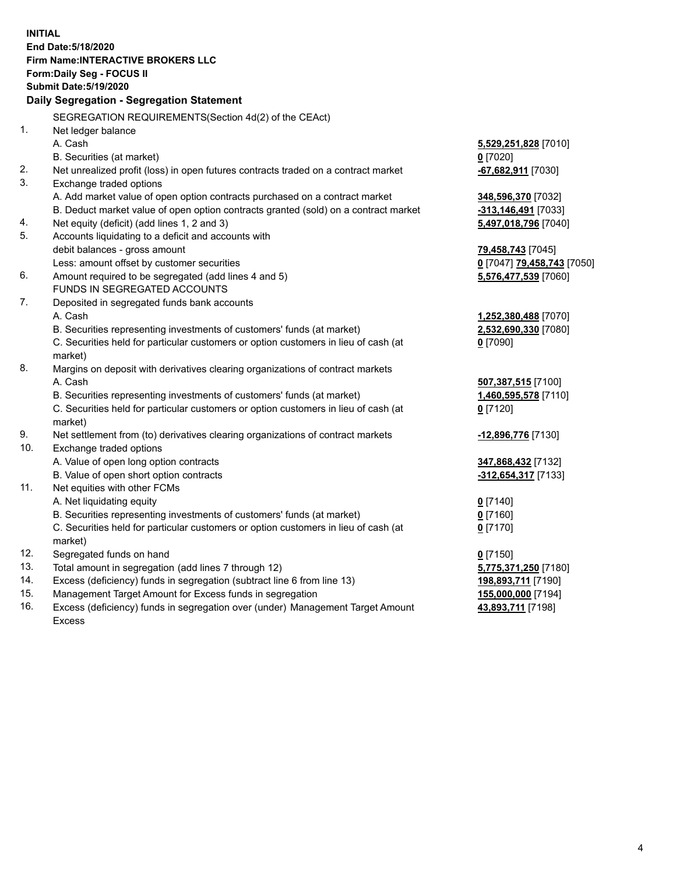**INITIAL End Date:5/18/2020 Firm Name:INTERACTIVE BROKERS LLC Form:Daily Seg - FOCUS II Submit Date:5/19/2020 Daily Segregation - Segregation Statement** SEGREGATION REQUIREMENTS(Section 4d(2) of the CEAct) 1. Net ledger balance A. Cash **5,529,251,828** [7010] B. Securities (at market) **0** [7020] 2. Net unrealized profit (loss) in open futures contracts traded on a contract market **-67,682,911** [7030] 3. Exchange traded options A. Add market value of open option contracts purchased on a contract market **348,596,370** [7032] B. Deduct market value of open option contracts granted (sold) on a contract market **-313,146,491** [7033] 4. Net equity (deficit) (add lines 1, 2 and 3) **5,497,018,796** [7040] 5. Accounts liquidating to a deficit and accounts with debit balances - gross amount **79,458,743** [7045] Less: amount offset by customer securities **0** [7047] **79,458,743** [7050] 6. Amount required to be segregated (add lines 4 and 5) **5,576,477,539** [7060] FUNDS IN SEGREGATED ACCOUNTS 7. Deposited in segregated funds bank accounts A. Cash **1,252,380,488** [7070] B. Securities representing investments of customers' funds (at market) **2,532,690,330** [7080] C. Securities held for particular customers or option customers in lieu of cash (at market) **0** [7090] 8. Margins on deposit with derivatives clearing organizations of contract markets A. Cash **507,387,515** [7100] B. Securities representing investments of customers' funds (at market) **1,460,595,578** [7110] C. Securities held for particular customers or option customers in lieu of cash (at market) **0** [7120] 9. Net settlement from (to) derivatives clearing organizations of contract markets **-12,896,776** [7130] 10. Exchange traded options A. Value of open long option contracts **347,868,432** [7132] B. Value of open short option contracts **-312,654,317** [7133] 11. Net equities with other FCMs A. Net liquidating equity **0** [7140] B. Securities representing investments of customers' funds (at market) **0** [7160] C. Securities held for particular customers or option customers in lieu of cash (at market) **0** [7170] 12. Segregated funds on hand **0** [7150] 13. Total amount in segregation (add lines 7 through 12) **5,775,371,250** [7180] 14. Excess (deficiency) funds in segregation (subtract line 6 from line 13) **198,893,711** [7190] 15. Management Target Amount for Excess funds in segregation **155,000,000** [7194] 16. Excess (deficiency) funds in segregation over (under) Management Target Amount **43,893,711** [7198]

Excess